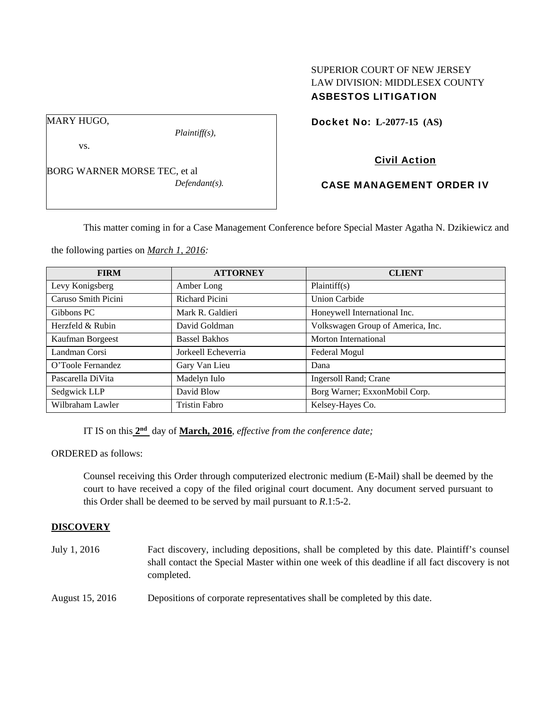# SUPERIOR COURT OF NEW JERSEY LAW DIVISION: MIDDLESEX COUNTY ASBESTOS LITIGATION

MARY HUGO,

vs.

BORG WARNER MORSE TEC, et al

*Defendant(s).* 

*Plaintiff(s),* 

Docket No: **L-2077-15 (AS)** 

# Civil Action

# CASE MANAGEMENT ORDER IV

This matter coming in for a Case Management Conference before Special Master Agatha N. Dzikiewicz and

the following parties on *March 1, 2016:* 

| <b>FIRM</b>         | <b>ATTORNEY</b>      | <b>CLIENT</b>                     |
|---------------------|----------------------|-----------------------------------|
| Levy Konigsberg     | Amber Long           | Plaintiff(s)                      |
| Caruso Smith Picini | Richard Picini       | <b>Union Carbide</b>              |
| Gibbons PC          | Mark R. Galdieri     | Honeywell International Inc.      |
| Herzfeld & Rubin    | David Goldman        | Volkswagen Group of America, Inc. |
| Kaufman Borgeest    | <b>Bassel Bakhos</b> | Morton International              |
| Landman Corsi       | Jorkeell Echeverria  | Federal Mogul                     |
| O'Toole Fernandez   | Gary Van Lieu        | Dana                              |
| Pascarella DiVita   | Madelyn Iulo         | Ingersoll Rand; Crane             |
| Sedgwick LLP        | David Blow           | Borg Warner; ExxonMobil Corp.     |
| Wilbraham Lawler    | <b>Tristin Fabro</b> | Kelsey-Hayes Co.                  |

IT IS on this **2nd** day of **March, 2016**, *effective from the conference date;*

ORDERED as follows:

Counsel receiving this Order through computerized electronic medium (E-Mail) shall be deemed by the court to have received a copy of the filed original court document. Any document served pursuant to this Order shall be deemed to be served by mail pursuant to *R*.1:5-2.

### **DISCOVERY**

July 1, 2016 Fact discovery, including depositions, shall be completed by this date. Plaintiff's counsel shall contact the Special Master within one week of this deadline if all fact discovery is not completed.

August 15, 2016 Depositions of corporate representatives shall be completed by this date.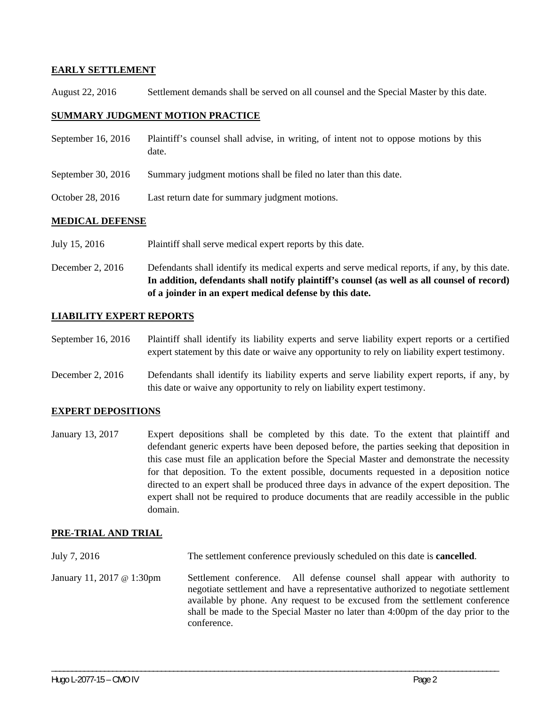#### **EARLY SETTLEMENT**

August 22, 2016 Settlement demands shall be served on all counsel and the Special Master by this date.

#### **SUMMARY JUDGMENT MOTION PRACTICE**

| September 16, 2016   | Plaintiff's counsel shall advise, in writing, of intent not to oppose motions by this<br>date. |  |
|----------------------|------------------------------------------------------------------------------------------------|--|
| September 30, $2016$ | Summary judgment motions shall be filed no later than this date.                               |  |
| October 28, 2016     | Last return date for summary judgment motions.                                                 |  |
| <b>************</b>  |                                                                                                |  |

#### **MEDICAL DEFENSE**

- July 15, 2016 Plaintiff shall serve medical expert reports by this date.
- December 2, 2016 Defendants shall identify its medical experts and serve medical reports, if any, by this date. **In addition, defendants shall notify plaintiff's counsel (as well as all counsel of record) of a joinder in an expert medical defense by this date.**

#### **LIABILITY EXPERT REPORTS**

- September 16, 2016 Plaintiff shall identify its liability experts and serve liability expert reports or a certified expert statement by this date or waive any opportunity to rely on liability expert testimony.
- December 2, 2016 Defendants shall identify its liability experts and serve liability expert reports, if any, by this date or waive any opportunity to rely on liability expert testimony.

### **EXPERT DEPOSITIONS**

January 13, 2017 Expert depositions shall be completed by this date. To the extent that plaintiff and defendant generic experts have been deposed before, the parties seeking that deposition in this case must file an application before the Special Master and demonstrate the necessity for that deposition. To the extent possible, documents requested in a deposition notice directed to an expert shall be produced three days in advance of the expert deposition. The expert shall not be required to produce documents that are readily accessible in the public domain.

### **PRE-TRIAL AND TRIAL**

July 7, 2016 The settlement conference previously scheduled on this date is **cancelled**.

January 11, 2017 @ 1:30pm Settlement conference. All defense counsel shall appear with authority to negotiate settlement and have a representative authorized to negotiate settlement available by phone. Any request to be excused from the settlement conference shall be made to the Special Master no later than 4:00pm of the day prior to the conference.

\_\_\_\_\_\_\_\_\_\_\_\_\_\_\_\_\_\_\_\_\_\_\_\_\_\_\_\_\_\_\_\_\_\_\_\_\_\_\_\_\_\_\_\_\_\_\_\_\_\_\_\_\_\_\_\_\_\_\_\_\_\_\_\_\_\_\_\_\_\_\_\_\_\_\_\_\_\_\_\_\_\_\_\_\_\_\_\_\_\_\_\_\_\_\_\_\_\_\_\_\_\_\_\_\_\_\_\_\_\_